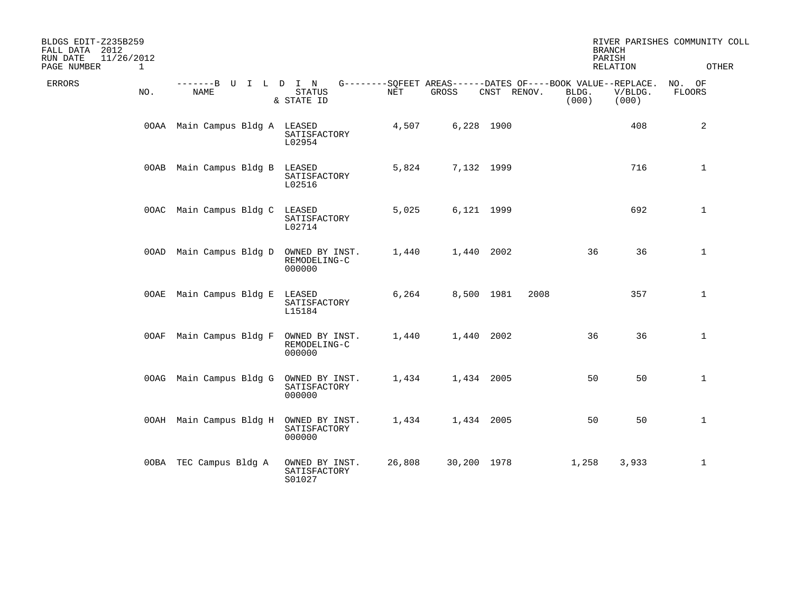| BLDGS EDIT-Z235B259<br>FALL DATA 2012<br>11/26/2012<br>RUN DATE<br>PAGE NUMBER | 1   |                                |                                          |        |                                                                      |             |      | <b>BRANCH</b><br>PARISH | RELATION         | RIVER PARISHES COMMUNITY COLL<br>OTHER |
|--------------------------------------------------------------------------------|-----|--------------------------------|------------------------------------------|--------|----------------------------------------------------------------------|-------------|------|-------------------------|------------------|----------------------------------------|
| ERRORS                                                                         | NO. | -------B U I L D I N<br>NAME   | <b>STATUS</b><br>& STATE ID              | NET    | G--------SQFEET AREAS------DATES OF----BOOK VALUE--REPLACE.<br>GROSS | CNST RENOV. |      | BLDG.<br>(000)          | V/BLDG.<br>(000) | NO. OF<br>FLOORS                       |
|                                                                                |     | 00AA Main Campus Bldg A LEASED | SATISFACTORY<br>L02954                   | 4,507  | 6,228 1900                                                           |             |      |                         | 408              | 2                                      |
|                                                                                |     | OOAB Main Campus Bldg B        | LEASED<br>SATISFACTORY<br>L02516         | 5,824  | 7,132 1999                                                           |             |      |                         | 716              | $\mathbf{1}$                           |
|                                                                                |     | 00AC Main Campus Bldg C        | LEASED<br>SATISFACTORY<br>L02714         | 5,025  | 6,121 1999                                                           |             |      |                         | 692              | $\mathbf{1}$                           |
|                                                                                |     | 00AD Main Campus Bldg D        | OWNED BY INST.<br>REMODELING-C<br>000000 | 1,440  |                                                                      | 1,440 2002  |      | 36                      | 36               | $\mathbf{1}$                           |
|                                                                                |     | OOAE Main Campus Bldg E        | LEASED<br>SATISFACTORY<br>L15184         | 6,264  |                                                                      | 8,500 1981  | 2008 |                         | 357              | $\mathbf{1}$                           |
|                                                                                |     | 00AF Main Campus Bldg F        | OWNED BY INST.<br>REMODELING-C<br>000000 | 1,440  |                                                                      | 1,440 2002  |      | 36                      | 36               | $\mathbf{1}$                           |
|                                                                                |     | 00AG Main Campus Bldg G        | OWNED BY INST.<br>SATISFACTORY<br>000000 | 1,434  | 1,434 2005                                                           |             |      | 50                      | 50               | $\mathbf 1$                            |
|                                                                                |     | 00AH Main Campus Bldg H        | OWNED BY INST.<br>SATISFACTORY<br>000000 | 1,434  | 1,434 2005                                                           |             |      | 50                      | 50               | $\mathbf{1}$                           |
|                                                                                |     | 00BA TEC Campus Bldg A         | OWNED BY INST.<br>SATISFACTORY<br>S01027 | 26,808 | 30,200 1978                                                          |             |      | 1,258                   | 3,933            | $\mathbf{1}$                           |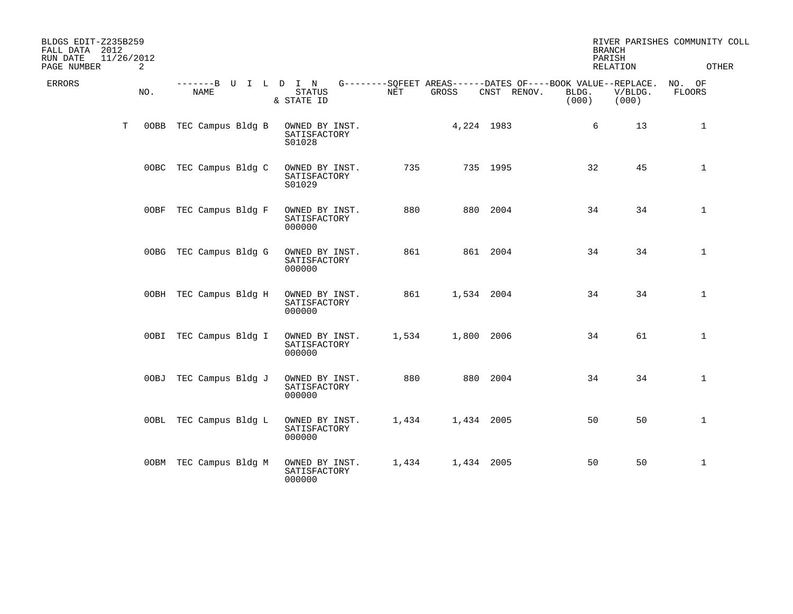| BLDGS EDIT-Z235B259<br>FALL DATA 2012<br>RUN DATE | 11/26/2012 |                              |                                          |       |            |                                                                            | <b>BRANCH</b><br>PARISH |                  | RIVER PARISHES COMMUNITY COLL |
|---------------------------------------------------|------------|------------------------------|------------------------------------------|-------|------------|----------------------------------------------------------------------------|-------------------------|------------------|-------------------------------|
| PAGE NUMBER                                       | 2          |                              |                                          |       |            |                                                                            | <b>RELATION</b>         |                  | <b>OTHER</b>                  |
| ERRORS                                            | NO.        | -------B U I L D I N<br>NAME | <b>STATUS</b><br>& STATE ID              | NET   | GROSS      | G--------SOFEET AREAS------DATES OF----BOOK VALUE--REPLACE.<br>CNST RENOV. | BLDG.<br>(000)          | V/BLDG.<br>(000) | NO. OF<br>FLOORS              |
| T                                                 | 00BB       | TEC Campus Bldg B            | OWNED BY INST.<br>SATISFACTORY<br>S01028 |       | 4,224 1983 |                                                                            | 6                       | 13               | $\mathbf 1$                   |
|                                                   |            | 00BC TEC Campus Bldg C       | OWNED BY INST.<br>SATISFACTORY<br>S01029 | 735   |            | 735 1995                                                                   | 32                      | 45               | $\mathbf{1}$                  |
|                                                   | 00BF       | TEC Campus Bldg F            | OWNED BY INST.<br>SATISFACTORY<br>000000 | 880   |            | 880 2004                                                                   | 34                      | 34               | $\mathbf{1}$                  |
|                                                   |            | 00BG TEC Campus Bldg G       | OWNED BY INST.<br>SATISFACTORY<br>000000 | 861   |            | 861 2004                                                                   | 34                      | 34               | $\mathbf 1$                   |
|                                                   |            | OOBH TEC Campus Bldg H       | OWNED BY INST.<br>SATISFACTORY<br>000000 | 861   | 1,534 2004 |                                                                            | 34                      | 34               | $\mathbf{1}$                  |
|                                                   |            | OOBI TEC Campus Bldg I       | OWNED BY INST.<br>SATISFACTORY<br>000000 | 1,534 | 1,800 2006 |                                                                            | 34                      | 61               | $\mathbf{1}$                  |
|                                                   | 00BJ       | TEC Campus Bldg J            | OWNED BY INST.<br>SATISFACTORY<br>000000 | 880   |            | 880 2004                                                                   | 34                      | 34               | $\mathbf 1$                   |
|                                                   |            | OOBL TEC Campus Bldg L       | OWNED BY INST.<br>SATISFACTORY<br>000000 | 1,434 | 1,434 2005 |                                                                            | 50                      | 50               | $\mathbf{1}$                  |
|                                                   |            | OOBM TEC Campus Bldg M       | OWNED BY INST.<br>SATISFACTORY<br>000000 | 1,434 | 1,434 2005 |                                                                            | 50                      | 50               | $\mathbf{1}$                  |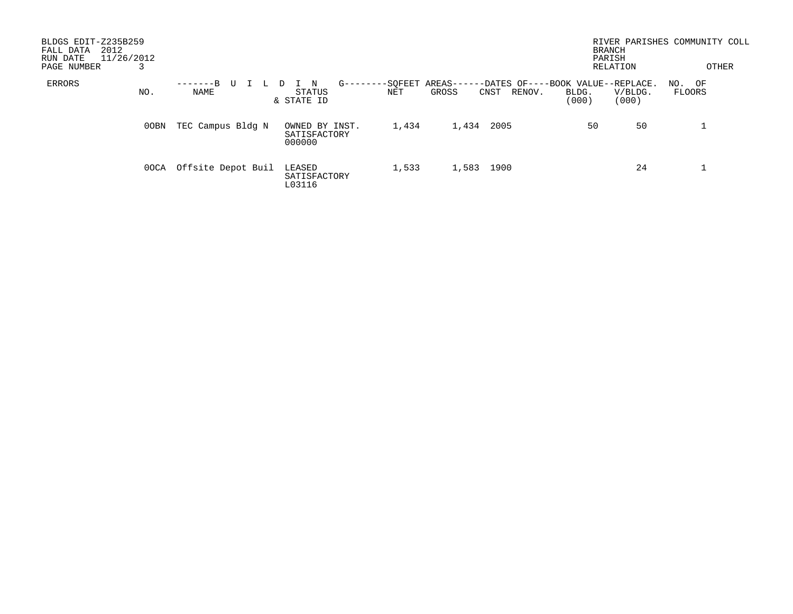| BLDGS EDIT-Z235B259<br>2012<br>FALL DATA<br>11/26/2012<br>RUN DATE<br>PAGE NUMBER |      |                    |                                          |                |                                                                        | <b>BRANCH</b><br>PARISH | RELATION         | RIVER PARISHES COMMUNITY COLL<br>OTHER |
|-----------------------------------------------------------------------------------|------|--------------------|------------------------------------------|----------------|------------------------------------------------------------------------|-------------------------|------------------|----------------------------------------|
| ERRORS                                                                            | NO.  | $-----B$<br>NAME   | $G - -$<br>STATUS<br>& STATE ID          | -SOFEET<br>NET | AREAS-<br>-DATES OF----BOOK VALUE--REPLACE.<br>GROSS<br>CNST<br>RENOV. | BLDG.<br>(000)          | V/BLDG.<br>(000) | NO. OF<br>FLOORS                       |
|                                                                                   | 00BN | TEC Campus Bldg N  | OWNED BY INST.<br>SATISFACTORY<br>000000 | 1,434          | 2005<br>1,434                                                          | 50                      | 50               |                                        |
|                                                                                   | 0OCA | Offsite Depot Buil | LEASED<br>SATISFACTORY<br>L03116         | 1,533          | 1,583<br>1900                                                          |                         | 24               |                                        |